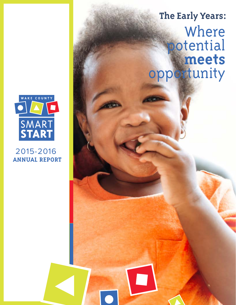## WAKE COUNTY  $\overline{\phantom{a}}$  $\bullet$   $\mathbf{|\mathbf{A}|}$ SMART<br>START

**ANNUAL REPORT** 2015-2016

**Wake County SmartStart ANNUAL REPORT 2015-2016 1**

# **The Early Years:** Where potential **meets**  opportunity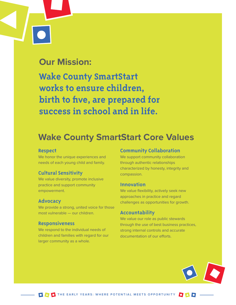## **Our Mission: Wake County SmartStart works to ensure children, birth to five, are prepared for success in school and in life.**

## **Wake County SmartStart Core Values**

#### **Respect**

We honor the unique experiences and needs of each young child and family.

### **Cultural Sensitivity**

We value diversity, promote inclusive practice and support community empowerment.

#### **Advocacy**

We provide a strong, united voice for those most vulnerable — our children.

#### **Responsiveness**

We respond to the individual needs of children and families with regard for our larger community as a whole.

#### **Community Collaboration**

We support community collaboration through authentic relationships characterized by honesty, integrity and compassion.

#### **Innovation**

We value flexibility, actively seek new approaches in practice and regard challenges as opportunities for growth.

#### **Accountability**

We value our role as public stewards through the use of best business practices, strong internal controls and accurate documentation of our efforts.

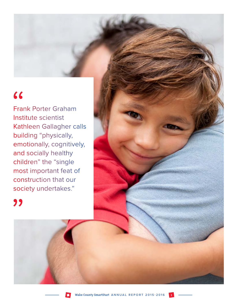# "

Frank Porter Graham Institute scientist Kathleen Gallagher calls building "physically, emotionally, cognitively, and socially healthy children" the "single most important feat of construction that our society undertakes."

*The NC Pre-Kindergarten Program*

"

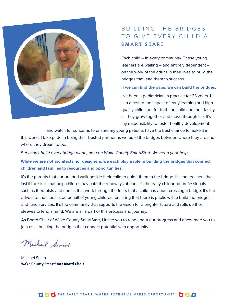

### BUILDING THE BRIDGES TO GIVE EVERY CHILD A **SMART START**

Each child – in every community. These young learners are waiting – and entirely dependent – on the work of the adults in their lives to build the bridges that lead them to success.

**If we can find the gaps, we can build the bridges.** 

I've been a pediatrician in practice for 33 years. I can attest to the impact of early learning and highquality child care for both the child and their family as they grow together and move through life. It's my responsibility to foster healthy development

and watch for concerns to ensure my young patients have the best chance to make it in

this world. I take pride in being their trusted partner as we build the bridges between where they are and where they dream to be.

*But I can't build every bridge alone, nor can Wake County SmartStart. We need your help.*

**While we are not architects nor designers, we each play a role in building the bridges that connect children and families to resources and opportunities.** 

It's the parents that nurture and walk beside their child to guide them to the bridge. It's the teachers that instill the skills that help children navigate the roadways ahead. It's the early childhood professionals such as therapists and nurses that work through the fears that a child has about crossing a bridge. It's the advocate that speaks on behalf of young children, ensuring that there is public will to build the bridges and fund services. It's the community that supports the vision for a brighter future and rolls up their sleeves to lend a hand. We are all a part of this process and journey.

As Board Chair of Wake County SmartStart, I invite you to read about our progress and encourage you to join us in building the bridges that connect potential with opportunity.

Michael Smid

Michael Smith **Wake County SmartStart Board Chair**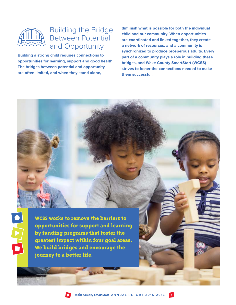

O NN

### Building the Bridge Between Potential and Opportunity

**Building a strong child requires connections to opportunities for learning, support and good health. The bridges between potential and opportunity are often limited, and when they stand alone,** 

**diminish what is possible for both the individual child and our community. When opportunities are coordinated and linked together, they create a network of resources, and a community is synchronized to produce prosperous adults. Every part of a community plays a role in building these bridges, and Wake County SmartStart (WCSS) strives to foster the connections needed to make them successful.** 

**WCSS works to remove the barriers to opportunities for support and learning by funding programs that foster the greatest impact within four goal areas. We build bridges and encourage the journey to a better life.**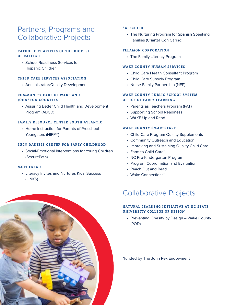### Partners, Programs and Collaborative Projects

#### **CATHOLIC CHARITIES OF THE DIOCESE OF RALEIGH**

• School Readiness Services for Hispanic Children

#### **CHILD CARE SERVICES ASSOCIATION**

• Administrator/Quality Development

#### **COMMUNITY CARE OF WAKE AND JOHNSTON COUNTIES**

• Assuring Better Child Health and Development Program (ABCD)

#### **FAMILY RESOURCE CENTER SOUTH ATLANTIC**

• Home Instruction for Parents of Preschool Youngsters (HIPPY)

#### **LUCY DANIELS CENTER FOR EARLY CHILDHOOD**

• Social/Emotional Interventions for Young Children (SecurePath)

#### **MOTHEREAD**

• Literacy Invites and Nurtures Kids' Success (LINKS)

#### **SAFECHILD**

• The Nurturing Program for Spanish Speaking Families (Crianza Con Cariño)

#### **TELAMON CORPORATION**

• The Family Literacy Program

#### **WAKE COUNTY HUMAN SERVICES**

- Child Care Health Consultant Program
- Child Care Subsidy Program
- Nurse-Family Partnership (NFP)

#### **WAKE COUNTY PUBLIC SCHOOL SYSTEM OFFICE OF EARLY LEARNING**

- Parents as Teachers Program (PAT)
- Supporting School Readiness
- WAKE Up and Read

#### **WAKE COUNTY SMARTSTART**

- Child Care Program Quality Supplements
- Community Outreach and Education
- Improving and Sustaining Quality Child Care
- Farm to Child Care\*
- NC Pre-Kindergarten Program
- Program Coordination and Evaluation
- Reach Out and Read
- Wake Connections\*

### Collaborative Projects

#### **NATURAL LEARNING INITIATIVE AT NC STATE UNIVERSITY COLLEGE OF DESIGN**

• Preventing Obesity by Design – Wake County (POD)

\*funded by The John Rex Endowment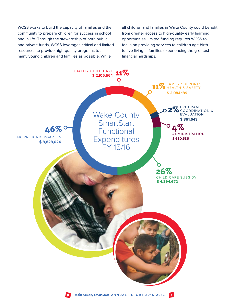WCSS works to build the capacity of families and the community to prepare children for success in school and in life. Through the stewardship of both public and private funds, WCSS leverages critical and limited resources to provide high-quality programs to as many young children and families as possible. While

all children and families in Wake County could benefit from greater access to high-quality early learning opportunities, limited funding requires WCSS to focus on providing services to children age birth to five living in families experiencing the greatest financial hardships.

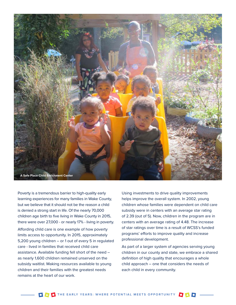

Poverty is a tremendous barrier to high-quality early learning experiences for many families in Wake County, but we believe that it should not be the reason a child is denied a strong start in life. Of the nearly 70,000 children age birth to five living in Wake County in 2015, there were over 27,000 - or nearly 17% - living in poverty.

Affording child care is one example of how poverty limits access to opportunity. In 2015, approximately 5,200 young children – or 1 out of every 5 in regulated care - lived in families that received child care assistance. Available funding fell short of the need – as nearly 1,600 children remained unserved on the subsidy waitlist. Making resources available to young children and their families with the greatest needs remains at the heart of our work.

Using investments to drive quality improvements helps improve the overall system. In 2002, young children whose families were dependent on child care subsidy were in centers with an average star rating of 2.39 (out of 5). Now, children in the program are in centers with an average rating of 4.48. The increase of star ratings over time is a result of WCSS's funded programs' efforts to improve quality and increase professional development.

As part of a larger system of agencies serving young children in our county and state, we embrace a shared definition of high quality that encourages a whole child approach – one that considers the needs of each child in every community.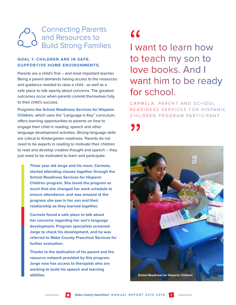### Connecting Parents and Resources to Build Strong Families

#### **GOAL 1: CHILDREN ARE IN SAFE, SUPPORTIVE HOME ENVIRONMENTS.**

Parents are a child's first – and most important teacher. Being a parent demands having access to the resources and guidance needed to raise a child - as well as a safe place to talk openly about concerns. The greatest outcomes occur when parents commit themselves fully to their child's success.

Programs like **School Readiness Services for Hispanic Children**, which uses the "Language is Key" curriculum, offers learning opportunities to parents on how to engage their child in reading, speech and other language development activities. Strong language skills are critical to Kindergarten readiness. Parents do not need to be experts in reading to motivate their children to read and develop creative thought and speech – they just need to be motivated to learn and participate.

> **Three year old Jorge and his mom, Carmela, started attending classes together through the School Readiness Services for Hispanic Children program. She loved the program so much that she changed her work schedule to ensure attendance, and was amazed at the progress she saw in her son and their relationship as they learned together.**

**Carmela found a safe place to talk about her concerns regarding her son's language development. Program specialists screened Jorge to check his development, and he was referred to Wake County Preschool Services for further evaluation.** 

**Thanks to the dedication of his parent and the resource network provided by this program, Jorge now has access to therapists who are working to build his speech and learning abilities.**

I want to learn how **"66**<br>
I want to learn how<br>
to teach my son to love books. And I want him to be ready for school.

CARMELA, PARENT AND SCHOOL READINESS SERVICES FOR HISPANIC<br>CHILDREN PROGRAM PARTICIPANT<br>99 CHILDREN PROGRAM PARTICIPANT

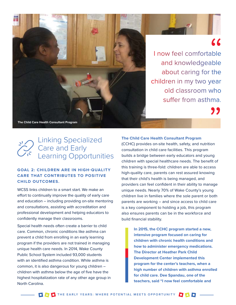I now feel comfortable and knowledgeable about caring for the children in my two year old classroom who suffer from asthma. <sub>vno</sub><br>ma.<br>99  $\frac{66}{\text{able}}$ 

Linking Specialized

**The Child Care Health Consultant Program**

Care and Early Learning Opportunities

#### **GOAL 2: CHILDREN ARE IN HIGH-QUALITY CARE THAT CONTRIBUTES TO POSITIVE CHILD OUTCOMES.**

WCSS links children to a smart start. We make an effort to continually improve the quality of early care and education – including providing on-site mentoring and consultations, assisting with accreditation and professional development and helping educators to confidently manage their classrooms.

Special health needs often create a barrier to child care. Common, chronic conditions like asthma can prevent a child from enrolling in an early learning program if the providers are not trained in managing unique health care needs. In 2014, Wake County Public School System included 93,000 students with an identified asthma condition. While asthma is common, it is also dangerous for young children – children with asthma below the age of five have the highest hospitalization rate of any other age group in North Carolina.

**The Child Care Health Consultant Program** 

(CCHC) provides on-site health, safety, and nutrition consultation in child care facilities. This program builds a bridge between early educators and young children with special healthcare needs. The benefit of this training is three-fold: children are able to access high-quality care, parents can rest assured knowing that their child's health is being managed, and providers can feel confident in their ability to manage unique needs. Nearly 70% of Wake County's young children live in families where the sole parent or both parents are working – and since access to child care is a key component to holding a job, this program also ensures parents can be in the workforce and build financial stability.

> **In 2015, the CCHC program started a new, intensive program focused on caring for children with chronic health conditions and how to administer emergency medications. The Director at Heather Park Child Development Center implemented this program for the center's teachers, when a high number of children with asthma enrolled for child care. Dee Spandau, one of the teachers, said "I now feel comfortable and**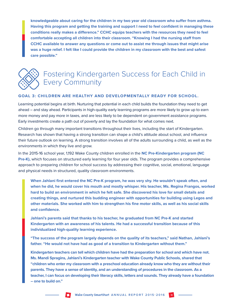**knowledgeable about caring for the children in my two year old classroom who suffer from asthma. Having this program and getting the training and support I need to feel confident in managing these conditions really makes a difference." CCHC equips teachers with the resources they need to feel comfortable accepting all children into their classroom. "Knowing I had the nursing staff from CCHC available to answer any questions or come out to assist me through issues that might arise was a huge relief. I felt like I could provide the children in my classroom with the best and safest care possible."**



### Fostering Kindergarten Success for Each Child in Every Community

#### **GOAL 3: CHILDREN ARE HEALTHY AND DEVELOPMENTALLY READY FOR SCHOOL.**

Learning potential begins at birth. Nurturing that potential in each child builds the foundation they need to get ahead – and stay ahead. Participants in high-quality early learning programs are more likely to grow up to earn more money and pay more in taxes, and are less likely to be dependent on government assistance programs. Early investments create a path out of poverty and lay the foundation for what comes next.

Children go through many important transitions throughout their lives, including the start of Kindergarten. Research has shown that having a strong transition can shape a child's attitude about school, and influence their future outlook on learning. A strong transition involves all of the adults surrounding a child, as well as the environments in which they live and grow.

In the 2015-16 school year, 1,192 Wake County children enrolled in the **NC Pre-Kindergarten program (NC Pre-K)**, which focuses on structured early learning for four year olds. The program provides a comprehensive approach to preparing children for school success by addressing their cognitive, social, emotional, language and physical needs in structured, quality classroom environments.

**When Jahlani first entered the NC Pre-K program, he was very shy. He wouldn't speak often, and when he did, he would cover his mouth and mostly whisper. His teacher, Ms. Regina Frangos, worked hard to build an environment in which he felt safe. She discovered his love for small details and creating things, and nurtured this budding engineer with opportunities for building using Legos and other materials. She worked with him to strengthen his fine motor skills, as well as his social skills and confidence.**

**Jahlani's parents said that thanks to his teacher, he graduated from NC Pre-K and started Kindergarten with an awareness of his talents. He had a successful transition because of this individualized high-quality learning experience.**

**"The success of the program largely depends on the quality of its teachers," said Nathan, Jahlani's father. "He would not have had as good of a transition to Kindergarten without them."**

**Kindergarten teachers can tell which children have had the preparation for school and which have not. Ms. Mandi Spragins, Jahlani's Kindergarten teacher with Wake County Public Schools, shared that "children who enter my classroom with a preschool education already know who they are without their parents. They have a sense of identity, and an understanding of procedures in the classroom. As a teacher, I can focus on developing their literacy skills, letters and sounds. They already have a foundation – one to build on."**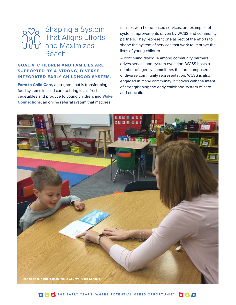

### **GOAL 4: CHILDREN AND FAMILIES ARE SUPPORTED BY A STRONG, DIVERSE INTEGRATED EARLY CHILDHOOD SYSTEM.**

**Farm to Child Care, a program that is transforming** food systems in child care to bring local, fresh vegetables and produce to young children, and **Wake Connections,** an online referral system that matches

families with home-based services, are examples of system improvements driven by WCSS and community partners. They represent one aspect of the efforts to shape the system of services that work to improve the lives of young children.

A continuing dialogue among community partners drives service and system evolution. WCSS hosts a number of agency committees that are composed of diverse community representation. WCSS is also engaged in many community initiatives with the intent of strengthening the early childhood system of care and education.



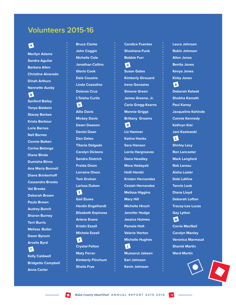### **Volunteers 2015-16**

### **A**

**B**

**Marilyn Adams Sandra Aguilar Barbara Allen Christine Alvarado Dinah Arthurs Nannette Ausby**

**Sanford Bailey Tonya Baldwin Stacey Barbee Krista Barbour Lorie Barnes Nell Barnes Connie Batten Corina Belonga Diane Binda Dumisha Binns Ana Maria Bonnell Diane Brinkerhoff Cassandra Brooks Val Brooks Deborah Brown Paula Brown Audrey Bunch Sharon Burney Terri Burris Melissa Butler Dawn Bynum Arvelis Byrd**

**C Kelly Caldwell Bridgette Campbell Anna Carter**

**Bruce Clarke John Coggin Nichelle Cole Jonathan Collins Gloria Cook Dale Cousins Linda Cozzolino Dolores Cruz L'Teisha Curtis D**

**Allie Davis Mickey Davis Dawn Dawson Daniel Dean Dan Deleo Titania Delgado Carolyn Dickens Sandra Dietrich Freida Dixon Lorraine Dixon Tom Drohan Larissa Dubon**

**Gail Eluwa Hardin Engelhardt Elizabeth Espinosa Arlene Evans Kristin Ezzell**

**E**

**F**

**Michele Ezzell**

**Crystal Felton Maty Ferrer Kimberly Flinchum Sheila Frye**

**Candice Fuentes Shoshana Funk Bobbie Furr**

**G**

**Susan Gates Kimberly Girouard Irene Gonzales Simone Green James Greene, Jr. Carla Gregg-Kearns Monnie Griggs Brittany Grooms H**

**Liz Hamner Katina Hanks Sara Hansen Lorrie Hargreaves Dana Headley Mora Hedayati Holli Hembi Kristen Hernandez Cesiah Hernandez Melissa Higgins Mary Hill Michelle Hirsch Jennifer Hodge Jessica Holmes Pamela Holt Valerie Horton Michelle Hughes J Mussarut Jabeen Earl Johnson Kevin Johnson**

**Laura Johnson Robin Johnson Allen Jones Benita Jones Kenya Jones Kirby Jones K**

**Deborah Kalwat Shobha Kamath Paul Kanoy Jacqueline Kehinde Connie Kennedy Kathryn Kiel Jani Kozlowski**

**L Shirley Lacy Ron Lancaster Mark Langford Rob Lareau Aisha Laster Debi LaVine Tancie Leak Diana Lloyd Deborah Lofton Tracey-Lee Lucas Gay Lytton M**

**Corrie MacNeil Carolyn Manley Veronica Marmaud Shanté Martin Ward Martin**



Wake County SmartStart ANNUAL REPORT 2015-2016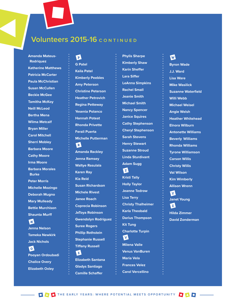### **Volunteers 2015-16 CONTINUED**

**Amanda Mateus-Rodriquez Katherine Matthews Patricia McCarter Paula McChristian Susan McCullen Beckie McGee Tamitha McKoy Neill McLeod Bertha Mena Wilma Metcalf Bryan Miller Carol Mitchell Sherri Mobley Barbara Moore Cathy Moore Irma Moore Barbara Morales Burke Peter Morris Michelle Mozingo Deborah Mugno Mary Mulleady Bettie Murchison Shaunta Murff N Jenna Nelson Tameka Newkirk**

**O Pooyan Ordoubadi Chalice Overy Elizabeth Oxley**

**Jack Nichols**

#### **P**

**G Patel Kaila Patel Kimberly Peebles Amy Peterson Christine Peterson Heather Petrovich Regina Petteway Yesenia Polanco Hannah Poteat Rhonda Privette Ferali Puerta Michelle Putterman R**

**Amanda Rackley Jenna Ramsey Waltye Rasulala Karen Ray Kia Reid Susan Richardson Michele Rivest Janee Roach Coprecia Robinson JeToya Robinson Gwendolyn Rodriguez Suree Rogers Phillip Rothstein Stephanie Russell Tiffany Russell S**

**Elizabeth Santana Gladys Santiago Camille Schaffer**

**Phylis Sharpe Kimberly Shaw Karin Sheffer Lara Siffer LeAnna Simpkins Rachel Small Jeanie Smith Michael Smith Nancy Spencer Janice Squires Cathy Stephenson Cheryl Stephenson Sarah Stevens Henry Stewart Suzanne Stroud Linda Sturdivant Adam Sugg**

**T Kristi Tally Holly Taylor Jeanne Tedrow Lisa Terry Christy Thalheimer Karla Theobald Darius Thompson Kit Tung Charlotte Turpin V Milena Valle**

**Venus VanBuren Maria Vela Frances Velez Carol Vercellino**

### **W**

**Byron Wade J.J. Ward Lisa Ware Mike Wasilick Suzanne Waterfield Willi Webb Michael Weisel Angie Welsh Heather Whitehead Elnora Wilburn Antonette Williams Beverly Williams Rhonda Williams Tyrone Williamson Carson Willis Christy Willis Val Wilson Kim Wimberly Allison Wrenn Y**

**Janet Young Z Hilda Zimmer David Zonderman**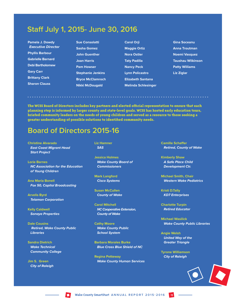### **Staff July 1, 2015- June 30, 2016**

| Pamela J. Dowdy<br><b>Executive Director</b> | <b>Sue Consolatti</b>    | <b>Carol Orji</b>          | <b>Gina Soceanu</b>      |
|----------------------------------------------|--------------------------|----------------------------|--------------------------|
|                                              | <b>Sasha Gomez</b>       | <b>Maggie Ortiz</b>        | <b>Anna Troutman</b>     |
| <b>Phyllis Barbour</b>                       | <b>John Guenther</b>     | <b>Nora Ostler</b>         | <b>Noemi Vasquez</b>     |
| <b>Gabrielle Barnard</b>                     | <b>Joan Harris</b>       | <b>Taty Padilla</b>        | <b>Taushau Wilkinson</b> |
| <b>Debi Bartholomew</b>                      | <b>Pam Howser</b>        | <b>Nancy Peck</b>          | <b>Patty Williams</b>    |
| <b>Gary Carr</b>                             | <b>Stephanie Jenkins</b> | <b>Lynn Policastro</b>     | <b>Liz Ziglar</b>        |
| <b>Brittany Clark</b>                        | <b>Bryce McClamroch</b>  | <b>Elizabeth Santana</b>   |                          |
| <b>Sharon Clauss</b>                         | <b>Nikki McDougald</b>   | <b>Melinda Schlesinger</b> |                          |

**The WCSS Board of Directors includes key partners and elected official representation to ensure that each planning step is informed by larger county and state-level goals. WCSS has hosted early education tours, briefed community leaders on the needs of young children and served as a resource to those seeking a greater understanding of possible solutions to identified community needs.** 

### **Board of Directors 2015-16**

**Christine Alvarado** *East Coast Migrant Head Start Project*

**Lorie Barnes** *NC Association for the Education of Young Children*

**Ana Maria Bonell** *Fox 50, Capitol Broadcasting*

**Arvelis Byrd** *Telamon Corporation*

**Kelly Caldwell** *Sonaya Properties*

**Dale Cousins**  *Retired, Wake County Public Libraries*

**Sandra Dietrich** *Wake Technical Community College*

**Jim S. Green** *City of Raleigh* **Liz Hamner** *SAS*

**Jessica Holmes** *Wake County Board of Commissioners* 

**Mark Langford** *Cisco Systems*

**Susan McCullen** *County of Wake*

**Carol Mitchell** *NC Cooperative Extension, County of Wake*

**Cathy Moore** *Wake County Public School System*

**Barbara Morales Burke** *Blue Cross Blue Shield of NC*

**Regina Petteway** *Wake County Human Services* **Camille Schaffer** *Retired, County of Wake*

**Kimberly Shaw** *A Safe Place Child Development Ctr.* 

**Michael Smith, Chair** *Western Wake Pediatrics*

**Kristi D.Tally**  *KD7 Enterprises*

**Charlotte Turpin** *Retired Educator*

**Michael Wasilick** *Wake County Public Libraries* 

**Angie Welsh** *United Way of the Greater Triangle*

**Tyrone Williamson** *City of Raleigh*

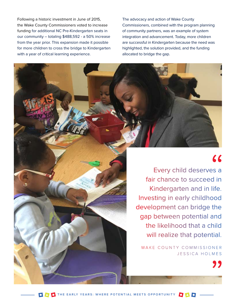Following a historic investment in June of 2015, the Wake County Commissioners voted to increase funding for additional NC Pre-Kindergarten seats in our community – totaling \$488,592 - a 50% increase from the year prior. This expansion made it possible for more children to cross the bridge to Kindergarten with a year of critical learning experience.

The advocacy and action of Wake County Commissioners, combined with the program planning of community partners, was an example of system integration and advancement. Today, more children are successful in Kindergarten because the need was highlighted, the solution provided, and the funding allocated to bridge the gap.

Every child deserves a fair chance to succeed in Kindergarten and in life. Investing in early childhood development can bridge the gap between potential and the likelihood that a child will realize that potential.  $\frac{1}{\cos \theta}$ <br>d in

WAKE COUNTY COMMISSIONER JESSICA HOLMES NER<br>MES<br>99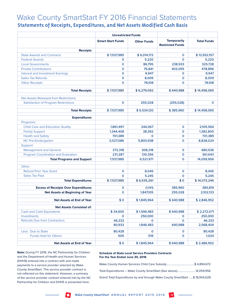### Wake County SmartStart FY 2016 Financial Statements **Statements of Receipts, Expenditures, and Net Assets Modified Cash Basis**

|                                               | <b>Unrestricted Funds</b> |                    |                                               |                    |
|-----------------------------------------------|---------------------------|--------------------|-----------------------------------------------|--------------------|
|                                               | <b>Smart Start Funds</b>  | <b>Other Funds</b> | <b>Temporarily</b><br><b>Restricted Funds</b> | <b>Total Funds</b> |
| <b>Receipts</b>                               |                           |                    |                                               |                    |
| <b>State Awards and Contracts</b>             | \$7,537,985               | \$6,014,172        | O                                             | \$13,552,157       |
| <b>Federal Awards</b>                         | O                         | 5,220              | $\Omega$                                      | 5,220              |
| <b>Local Governments</b>                      | $\mathbf 0$               | 86,795             | 238,933                                       | 325,728            |
| <b>Private Contributions</b>                  | $\mathbf 0$               | 76,841             | 402,055                                       | 478,896            |
| <b>Interest and Investment Earnings</b>       | $\mathbf 0$               | 9,947              | O                                             | 9,947              |
| <b>Sales Tax Refunds</b>                      | $\mathbf 0$               | 8,009              | O                                             | 8,009              |
| <b>Other Receipts</b>                         | $\mathbf 0$               | 78,108             | O                                             | 78,108             |
| <b>Total Receipts</b>                         | \$7,537,985               | \$6,279,092        | \$640,988                                     | \$14,458,065       |
| <b>Net Assets Released from Restrictions:</b> |                           |                    |                                               |                    |
| <b>Satisfaction of Program Restrictions</b>   | O                         | 255,028            | (255, 028)                                    | $\mathbf 0$        |
| <b>Total Receipts</b>                         | \$7,537,985               | \$6,534,120        | \$385,960                                     | \$14,458,065       |
| <b>Expenditures</b>                           |                           |                    |                                               |                    |
| Programs:                                     |                           |                    |                                               |                    |
| <b>Child Care and Education Quality</b>       | 1,861,497                 | 244,067            | O                                             | 2,105,564          |
| <b>Family Support</b>                         | 1,344,408                 | 38,392             | O                                             | 1,382,800          |
| <b>Health and Safety</b>                      | 701,389                   | $\Omega$           | $\mathbf{o}$                                  | 701,389            |
| NC Pre-Kindergarten                           | 3,027,086                 | 5,800,938          | O                                             | 8,828,024          |
| Support:                                      |                           |                    |                                               |                    |
| <b>Management and General</b>                 | 372,318                   | 308,218            | O                                             | 680,536            |
| <b>Program Coordination and Evaluation</b>    | 231,287                   | 130,356            | $\mathbf{o}$                                  | 361,643            |
| <b>Total Programs and Support</b>             | 7,537,985                 | 6,521,971          | O                                             | 14,059,956         |
| Other:                                        |                           |                    |                                               |                    |
| <b>Refund Prior Year Grant</b>                | O                         | 8,045              | $\mathbf 0$                                   | 8,045              |
| <b>Sales Tax Paid</b>                         | $\Omega$                  | 5,245              | $\Omega$                                      | 5,245              |
| <b>Total Expenditures</b>                     | \$7,537,985               | \$6,535,261        | \$0                                           | \$14,073,246       |
| <b>Excess of Receipts Over Expenditures</b>   | O                         | (1,141)            | 385,960                                       | 384,819            |
| <b>Net Assets at Beginning of Year</b>        | O                         | 1,847,105          | 255,028                                       | 2,102,133          |
| <b>Net Assets at End of Year</b>              | \$0                       | \$1,845,964        | \$640,988                                     | \$2,846,952        |
| <b>Net Assets Consisted of:</b>               |                           |                    |                                               |                    |
| <b>Cash and Cash Equivalents</b>              | \$34,600                  | \$1,596,483        | \$640,988                                     | \$2,272,071        |
| Investments                                   | $\mathbf 0$               | 250,000            | $\mathbf 0$                                   | 250,000            |
| <b>Refunds Due from Contractors</b>           | 46,333                    | O                  | 0                                             | 46,333             |
|                                               | 80,933                    | 1,846,483          | 640,988                                       | 2,568,404          |
| Less: Due to State                            | 80,428                    | O                  | 0                                             | 80,428             |
| <b>Funds Held for Others</b>                  | 505                       | 519                | 0                                             | 1,024              |
| <b>Net Assets at End of Year</b>              | \$0                       | \$1,845,964        | \$640,988                                     | \$2,486,952        |

**Note:** During FY 2016, the NC Partnership for Children and the Department of Health and Human Services (DHHS) entered into a contract with and made payments to a service provider selected by Wake County SmartStart. This service provider contract is not reflected on this statement. However, a summary of the service provider contract entered into by the NC Partnership for Children and DHHS is presented here:

 $\blacksquare$ 

#### **Schedule of State Level Service Providers Contracts For the Year Ended June 30, 2016**

| Total Expenditures - Wake County SmartStart (See above) 14,059,956           |  |
|------------------------------------------------------------------------------|--|
| Grand Total Expenditures by and through Wake County SmartStart \$ 18,954,628 |  |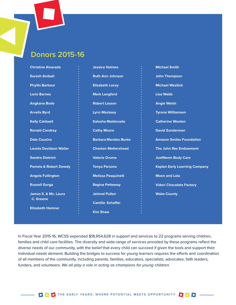### **Donors 2015-16**

| <b>Christine Alvarado</b>        | Jessica Holmes               | <b>Michael Smith</b>                 |
|----------------------------------|------------------------------|--------------------------------------|
| <b>Suresh Ambati</b>             | <b>Ruth Ann Johnson</b>      | <b>John Thompson</b>                 |
| <b>Phyllis Barbour</b>           | <b>Elizabeth Lacey</b>       | <b>Michael Wasilick</b>              |
| <b>Lorie Barnes</b>              | <b>Mark Langford</b>         | <b>Lisa Webb</b>                     |
| <b>Angkana Bode</b>              | <b>Robert Lasson</b>         | <b>Angie Welsh</b>                   |
| <b>Arvelis Byrd</b>              | <b>Lynn Macksey</b>          | <b>Tyrone Williamson</b>             |
| <b>Kelly Caldwell</b>            | <b>Kalesha Maldonado</b>     | <b>Catherine Wooten</b>              |
| <b>Ronald Condrey</b>            | <b>Cathy Moore</b>           | <b>David Zonderman</b>               |
| <b>Dale Cousins</b>              | <b>Barbara Morales Burke</b> | <b>Amazon Smiles Foundation</b>      |
| <b>Laveta Davidson Waller</b>    | <b>Cheston Mottershead</b>   | The John Rex Endowment               |
| <b>Sandra Dietrich</b>           | <b>Valeria Oruma</b>         | <b>JustNeem Body Care</b>            |
| <b>Pamela &amp; Robert Dowdy</b> | <b>Tonya Parsons</b>         | <b>Kaplan Early Learning Company</b> |
| <b>Angela Fullington</b>         | <b>Melissa Pasquinelli</b>   | <b>Moon and Lola</b>                 |
| <b>Russell Gorga</b>             | <b>Regina Petteway</b>       | <b>Videri Chocolate Factory</b>      |
| <b>James S. &amp; Ms. Laura</b>  | <b>Jahmal Pullen</b>         | <b>Wake County</b>                   |
| C. Greene                        | <b>Camille Schaffer</b>      |                                      |
| <b>Elizabeth Hamner</b>          | <b>Kim Shaw</b>              |                                      |
|                                  |                              |                                      |

In Fiscal Year 2015-16, WCSS expended \$18,954,628 in support and services to 22 programs serving children, families and child care facilities. The diversity and wide-range of services provided by these programs reflect the diverse needs of our community, with the belief that every child can succeed if given the tools and support their individual needs demand. Building the bridges to success for young learners requires the efforts and coordination of all members of the community, including parents, families, educators, specialists, advocates, faith leaders, funders, and volunteers. *We all play a role in acting as champions for young children.*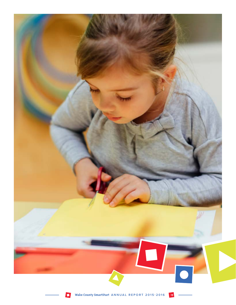